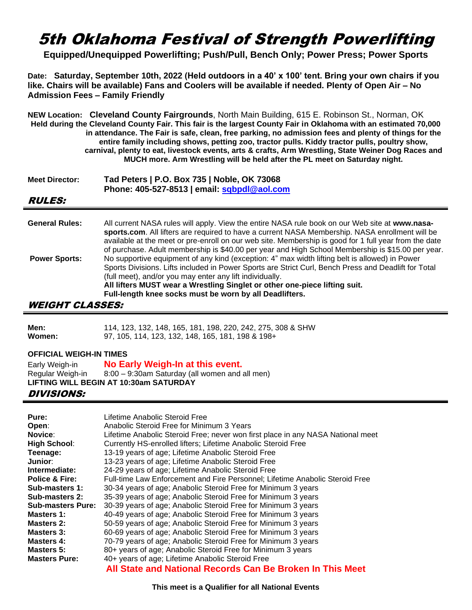# 5th Oklahoma Festival of Strength Powerlifting

**Equipped/Unequipped Powerlifting; Push/Pull, Bench Only; Power Press; Power Sports**

**Date: Saturday, September 10th, 2022 (Held outdoors in a 40' x 100' tent. Bring your own chairs if you like. Chairs will be available) Fans and Coolers will be available if needed. Plenty of Open Air – No Admission Fees – Family Friendly**

**NEW Location: Cleveland County Fairgrounds**, North Main Building, 615 E. Robinson St., Norman, OK **Held during the Cleveland County Fair. This fair is the largest County Fair in Oklahoma with an estimated 70,000 in attendance. The Fair is safe, clean, free parking, no admission fees and plenty of things for the entire family including shows, petting zoo, tractor pulls. Kiddy tractor pulls, poultry show, carnival, plenty to eat, livestock events, arts & crafts, Arm Wrestling, State Weiner Dog Races and MUCH more. Arm Wrestling will be held after the PL meet on Saturday night.**

| <b>Meet Director:</b> | Tad Peters   P.O. Box 735   Noble, OK 73068 |  |  |  |  |
|-----------------------|---------------------------------------------|--|--|--|--|
|                       | Phone: 405-527-8513   email: sqbpdl@aol.com |  |  |  |  |

#### RULES:

| <b>General Rules:</b> | All current NASA rules will apply. View the entire NASA rule book on our Web site at www.nasa-<br>sports.com. All lifters are required to have a current NASA Membership. NASA enrollment will be<br>available at the meet or pre-enroll on our web site. Membership is good for 1 full year from the date<br>of purchase. Adult membership is \$40.00 per year and High School Membership is \$15.00 per year. |
|-----------------------|-----------------------------------------------------------------------------------------------------------------------------------------------------------------------------------------------------------------------------------------------------------------------------------------------------------------------------------------------------------------------------------------------------------------|
| <b>Power Sports:</b>  | No supportive equipment of any kind (exception: 4" max width lifting belt is allowed) in Power<br>Sports Divisions. Lifts included in Power Sports are Strict Curl, Bench Press and Deadlift for Total<br>(full meet), and/or you may enter any lift individually.<br>All lifters MUST wear a Wrestling Singlet or other one-piece lifting suit.<br>Full-length knee socks must be worn by all Deadlifters.     |

#### WEIGHT CLASSES:

| Men:   | 114, 123, 132, 148, 165, 181, 198, 220, 242, 275, 308 & SHW |
|--------|-------------------------------------------------------------|
| Women: | 97, 105, 114, 123, 132, 148, 165, 181, 198 & 198+           |

#### **OFFICIAL WEIGH-IN TIMES**

| Early Weigh-in   | No Early Weigh-In at this event.               |
|------------------|------------------------------------------------|
| Regular Weigh-in | 8:00 - 9:30am Saturday (all women and all men) |
|                  | LIFTING WILL BEGIN AT 10:30am SATURDAY         |

### DIVISIONS:

| Pure:                     | Lifetime Anabolic Steroid Free                                                  |
|---------------------------|---------------------------------------------------------------------------------|
| Open:                     | Anabolic Steroid Free for Minimum 3 Years                                       |
| Novice:                   | Lifetime Anabolic Steroid Free; never won first place in any NASA National meet |
| <b>High School:</b>       | Currently HS-enrolled lifters; Lifetime Anabolic Steroid Free                   |
| Teenage:                  | 13-19 years of age; Lifetime Anabolic Steroid Free                              |
| Junior:                   | 13-23 years of age; Lifetime Anabolic Steroid Free                              |
| Intermediate:             | 24-29 years of age; Lifetime Anabolic Steroid Free                              |
| <b>Police &amp; Fire:</b> | Full-time Law Enforcement and Fire Personnel; Lifetime Anabolic Steroid Free    |
| Sub-masters 1:            | 30-34 years of age; Anabolic Steroid Free for Minimum 3 years                   |
| Sub-masters 2:            | 35-39 years of age; Anabolic Steroid Free for Minimum 3 years                   |
| <b>Sub-masters Pure:</b>  | 30-39 years of age; Anabolic Steroid Free for Minimum 3 years                   |
| <b>Masters 1:</b>         | 40-49 years of age; Anabolic Steroid Free for Minimum 3 years                   |
| <b>Masters 2:</b>         | 50-59 years of age; Anabolic Steroid Free for Minimum 3 years                   |
| Masters 3:                | 60-69 years of age; Anabolic Steroid Free for Minimum 3 years                   |
| Masters 4:                | 70-79 years of age; Anabolic Steroid Free for Minimum 3 years                   |
| <b>Masters 5:</b>         | 80+ years of age; Anabolic Steroid Free for Minimum 3 years                     |
| <b>Masters Pure:</b>      | 40+ years of age; Lifetime Anabolic Steroid Free                                |
|                           | All State and National Records Can Be Broken In This Meet                       |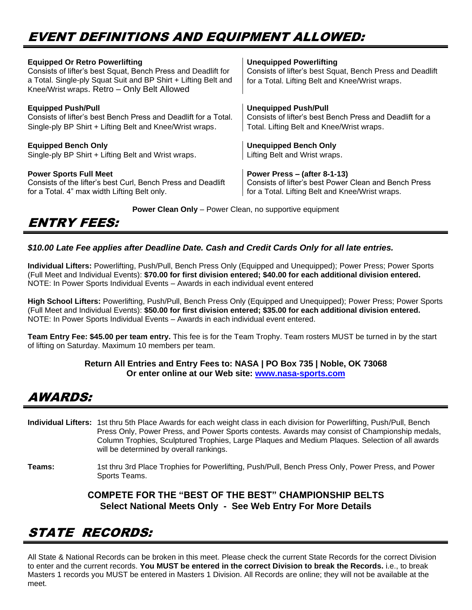# EVENT DEFINITIONS AND EQUIPMENT ALLOWED:

| <b>Equipped Or Retro Powerlifting</b><br>Consists of lifter's best Squat, Bench Press and Deadlift for<br>a Total. Single-ply Squat Suit and BP Shirt + Lifting Belt and<br>Knee/Wrist wraps. Retro - Only Belt Allowed | <b>Unequipped Powerlifting</b><br>Consists of lifter's best Squat, Bench Press and Deadlift<br>for a Total. Lifting Belt and Knee/Wrist wraps. |
|-------------------------------------------------------------------------------------------------------------------------------------------------------------------------------------------------------------------------|------------------------------------------------------------------------------------------------------------------------------------------------|
| <b>Equipped Push/Pull</b>                                                                                                                                                                                               | <b>Unequipped Push/Pull</b>                                                                                                                    |
| Consists of lifter's best Bench Press and Deadlift for a Total.                                                                                                                                                         | Consists of lifter's best Bench Press and Deadlift for a                                                                                       |
| Single-ply BP Shirt + Lifting Belt and Knee/Wrist wraps.                                                                                                                                                                | Total. Lifting Belt and Knee/Wrist wraps.                                                                                                      |
| <b>Equipped Bench Only</b>                                                                                                                                                                                              | <b>Unequipped Bench Only</b>                                                                                                                   |
| Single-ply BP Shirt + Lifting Belt and Wrist wraps.                                                                                                                                                                     | Lifting Belt and Wrist wraps.                                                                                                                  |
| <b>Power Sports Full Meet</b>                                                                                                                                                                                           | Power Press - (after 8-1-13)                                                                                                                   |
| Consists of the lifter's best Curl, Bench Press and Deadlift                                                                                                                                                            | Consists of lifter's best Power Clean and Bench Press                                                                                          |
| for a Total. 4" max width Lifting Belt only.                                                                                                                                                                            | for a Total. Lifting Belt and Knee/Wrist wraps.                                                                                                |
|                                                                                                                                                                                                                         |                                                                                                                                                |

**Power Clean Only** – Power Clean, no supportive equipment

## ENTRY FEES:

### *\$10.00 Late Fee applies after Deadline Date. Cash and Credit Cards Only for all late entries.*

**Individual Lifters:** Powerlifting, Push/Pull, Bench Press Only (Equipped and Unequipped); Power Press; Power Sports (Full Meet and Individual Events): **\$70.00 for first division entered; \$40.00 for each additional division entered.**  NOTE: In Power Sports Individual Events – Awards in each individual event entered

**High School Lifters:** Powerlifting, Push/Pull, Bench Press Only (Equipped and Unequipped); Power Press; Power Sports (Full Meet and Individual Events): **\$50.00 for first division entered; \$35.00 for each additional division entered.**  NOTE: In Power Sports Individual Events – Awards in each individual event entered.

**Team Entry Fee: \$45.00 per team entry.** This fee is for the Team Trophy. Team rosters MUST be turned in by the start of lifting on Saturday. Maximum 10 members per team.

#### **Return All Entries and Entry Fees to: NASA | PO Box 735 | Noble, OK 73068 Or enter online at our Web site: [www.nasa-sports.com](http://www.nasa-sports.com/)**

## AWARDS:

**Individual Lifters:** 1st thru 5th Place Awards for each weight class in each division for Powerlifting, Push/Pull, Bench Press Only, Power Press, and Power Sports contests. Awards may consist of Championship medals, Column Trophies, Sculptured Trophies, Large Plaques and Medium Plaques. Selection of all awards will be determined by overall rankings.

**Teams:** 1st thru 3rd Place Trophies for Powerlifting, Push/Pull, Bench Press Only, Power Press, and Power Sports Teams.

### **COMPETE FOR THE "BEST OF THE BEST" CHAMPIONSHIP BELTS Select National Meets Only - See Web Entry For More Details**

# STATE RECORDS:

All State & National Records can be broken in this meet. Please check the current State Records for the correct Division to enter and the current records. **You MUST be entered in the correct Division to break the Records.** i.e., to break Masters 1 records you MUST be entered in Masters 1 Division. All Records are online; they will not be available at the meet.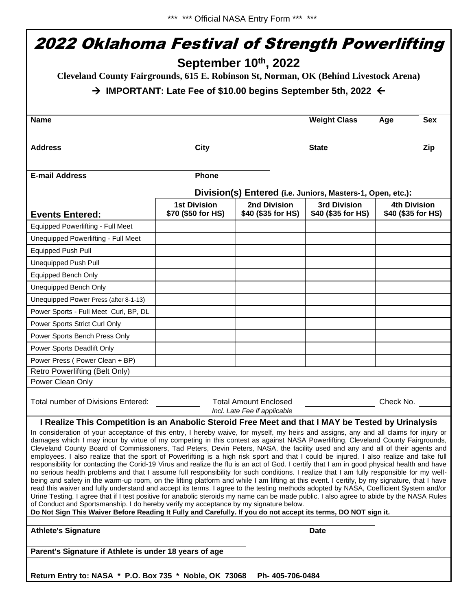| September 10th, 2022<br>Cleveland County Fairgrounds, 615 E. Robinson St, Norman, OK (Behind Livestock Arena)<br>$\rightarrow$ IMPORTANT: Late Fee of \$10.00 begins September 5th, 2022 $\leftarrow$                                                                                                                                                                                                                                                                                                                                                                                                                                                                                                                                                                                                                                                                                                                                                                                                                                                                                                                                                                                                                                                                                                                                                                                                                                                                                           |                                           |                                                              |                                    |                                           |  |  |  |  |
|-------------------------------------------------------------------------------------------------------------------------------------------------------------------------------------------------------------------------------------------------------------------------------------------------------------------------------------------------------------------------------------------------------------------------------------------------------------------------------------------------------------------------------------------------------------------------------------------------------------------------------------------------------------------------------------------------------------------------------------------------------------------------------------------------------------------------------------------------------------------------------------------------------------------------------------------------------------------------------------------------------------------------------------------------------------------------------------------------------------------------------------------------------------------------------------------------------------------------------------------------------------------------------------------------------------------------------------------------------------------------------------------------------------------------------------------------------------------------------------------------|-------------------------------------------|--------------------------------------------------------------|------------------------------------|-------------------------------------------|--|--|--|--|
|                                                                                                                                                                                                                                                                                                                                                                                                                                                                                                                                                                                                                                                                                                                                                                                                                                                                                                                                                                                                                                                                                                                                                                                                                                                                                                                                                                                                                                                                                                 |                                           |                                                              |                                    |                                           |  |  |  |  |
| <b>Address</b>                                                                                                                                                                                                                                                                                                                                                                                                                                                                                                                                                                                                                                                                                                                                                                                                                                                                                                                                                                                                                                                                                                                                                                                                                                                                                                                                                                                                                                                                                  | <b>City</b>                               |                                                              | <b>State</b>                       | Zip                                       |  |  |  |  |
| <b>E-mail Address</b>                                                                                                                                                                                                                                                                                                                                                                                                                                                                                                                                                                                                                                                                                                                                                                                                                                                                                                                                                                                                                                                                                                                                                                                                                                                                                                                                                                                                                                                                           | <b>Phone</b>                              |                                                              |                                    |                                           |  |  |  |  |
|                                                                                                                                                                                                                                                                                                                                                                                                                                                                                                                                                                                                                                                                                                                                                                                                                                                                                                                                                                                                                                                                                                                                                                                                                                                                                                                                                                                                                                                                                                 |                                           | Division(s) Entered (i.e. Juniors, Masters-1, Open, etc.):   |                                    |                                           |  |  |  |  |
| <b>Events Entered:</b>                                                                                                                                                                                                                                                                                                                                                                                                                                                                                                                                                                                                                                                                                                                                                                                                                                                                                                                                                                                                                                                                                                                                                                                                                                                                                                                                                                                                                                                                          | <b>1st Division</b><br>\$70 (\$50 for HS) | 2nd Division<br>\$40 (\$35 for HS)                           | 3rd Division<br>\$40 (\$35 for HS) | <b>4th Division</b><br>\$40 (\$35 for HS) |  |  |  |  |
| Equipped Powerlifting - Full Meet                                                                                                                                                                                                                                                                                                                                                                                                                                                                                                                                                                                                                                                                                                                                                                                                                                                                                                                                                                                                                                                                                                                                                                                                                                                                                                                                                                                                                                                               |                                           |                                                              |                                    |                                           |  |  |  |  |
| Unequipped Powerlifting - Full Meet                                                                                                                                                                                                                                                                                                                                                                                                                                                                                                                                                                                                                                                                                                                                                                                                                                                                                                                                                                                                                                                                                                                                                                                                                                                                                                                                                                                                                                                             |                                           |                                                              |                                    |                                           |  |  |  |  |
| <b>Equipped Push Pull</b>                                                                                                                                                                                                                                                                                                                                                                                                                                                                                                                                                                                                                                                                                                                                                                                                                                                                                                                                                                                                                                                                                                                                                                                                                                                                                                                                                                                                                                                                       |                                           |                                                              |                                    |                                           |  |  |  |  |
| <b>Unequipped Push Pull</b>                                                                                                                                                                                                                                                                                                                                                                                                                                                                                                                                                                                                                                                                                                                                                                                                                                                                                                                                                                                                                                                                                                                                                                                                                                                                                                                                                                                                                                                                     |                                           |                                                              |                                    |                                           |  |  |  |  |
| Equipped Bench Only                                                                                                                                                                                                                                                                                                                                                                                                                                                                                                                                                                                                                                                                                                                                                                                                                                                                                                                                                                                                                                                                                                                                                                                                                                                                                                                                                                                                                                                                             |                                           |                                                              |                                    |                                           |  |  |  |  |
| Unequipped Bench Only                                                                                                                                                                                                                                                                                                                                                                                                                                                                                                                                                                                                                                                                                                                                                                                                                                                                                                                                                                                                                                                                                                                                                                                                                                                                                                                                                                                                                                                                           |                                           |                                                              |                                    |                                           |  |  |  |  |
| Unequipped Power Press (after 8-1-13)                                                                                                                                                                                                                                                                                                                                                                                                                                                                                                                                                                                                                                                                                                                                                                                                                                                                                                                                                                                                                                                                                                                                                                                                                                                                                                                                                                                                                                                           |                                           |                                                              |                                    |                                           |  |  |  |  |
| Power Sports - Full Meet Curl, BP, DL                                                                                                                                                                                                                                                                                                                                                                                                                                                                                                                                                                                                                                                                                                                                                                                                                                                                                                                                                                                                                                                                                                                                                                                                                                                                                                                                                                                                                                                           |                                           |                                                              |                                    |                                           |  |  |  |  |
| Power Sports Strict Curl Only                                                                                                                                                                                                                                                                                                                                                                                                                                                                                                                                                                                                                                                                                                                                                                                                                                                                                                                                                                                                                                                                                                                                                                                                                                                                                                                                                                                                                                                                   |                                           |                                                              |                                    |                                           |  |  |  |  |
| Power Sports Bench Press Only                                                                                                                                                                                                                                                                                                                                                                                                                                                                                                                                                                                                                                                                                                                                                                                                                                                                                                                                                                                                                                                                                                                                                                                                                                                                                                                                                                                                                                                                   |                                           |                                                              |                                    |                                           |  |  |  |  |
| Power Sports Deadlift Only                                                                                                                                                                                                                                                                                                                                                                                                                                                                                                                                                                                                                                                                                                                                                                                                                                                                                                                                                                                                                                                                                                                                                                                                                                                                                                                                                                                                                                                                      |                                           |                                                              |                                    |                                           |  |  |  |  |
| Power Press (Power Clean + BP)                                                                                                                                                                                                                                                                                                                                                                                                                                                                                                                                                                                                                                                                                                                                                                                                                                                                                                                                                                                                                                                                                                                                                                                                                                                                                                                                                                                                                                                                  |                                           |                                                              |                                    |                                           |  |  |  |  |
| Retro Powerlifting (Belt Only)                                                                                                                                                                                                                                                                                                                                                                                                                                                                                                                                                                                                                                                                                                                                                                                                                                                                                                                                                                                                                                                                                                                                                                                                                                                                                                                                                                                                                                                                  |                                           |                                                              |                                    |                                           |  |  |  |  |
| Power Clean Only                                                                                                                                                                                                                                                                                                                                                                                                                                                                                                                                                                                                                                                                                                                                                                                                                                                                                                                                                                                                                                                                                                                                                                                                                                                                                                                                                                                                                                                                                |                                           |                                                              |                                    |                                           |  |  |  |  |
| Total number of Divisions Entered:                                                                                                                                                                                                                                                                                                                                                                                                                                                                                                                                                                                                                                                                                                                                                                                                                                                                                                                                                                                                                                                                                                                                                                                                                                                                                                                                                                                                                                                              |                                           | <b>Total Amount Enclosed</b><br>Incl. Late Fee if applicable |                                    | Check No.                                 |  |  |  |  |
| I Realize This Competition is an Anabolic Steroid Free Meet and that I MAY be Tested by Urinalysis                                                                                                                                                                                                                                                                                                                                                                                                                                                                                                                                                                                                                                                                                                                                                                                                                                                                                                                                                                                                                                                                                                                                                                                                                                                                                                                                                                                              |                                           |                                                              |                                    |                                           |  |  |  |  |
| In consideration of your acceptance of this entry, I hereby waive, for myself, my heirs and assigns, any and all claims for injury or<br>damages which I may incur by virtue of my competing in this contest as against NASA Powerlifting, Cleveland County Fairgrounds,<br>Cleveland County Board of Commissioners, Tad Peters, Devin Peters, NASA, the facility used and any and all of their agents and<br>employees. I also realize that the sport of Powerlifting is a high risk sport and that I could be injured. I also realize and take full<br>responsibility for contacting the Corid-19 Virus and realize the flu is an act of God. I certify that I am in good physical health and have<br>no serious health problems and that I assume full responsibility for such conditions. I realize that I am fully responsible for my well-<br>being and safety in the warm-up room, on the lifting platform and while I am lifting at this event. I certify, by my signature, that I have<br>read this waiver and fully understand and accept its terms. I agree to the testing methods adopted by NASA, Coefficient System and/or<br>Urine Testing. I agree that if I test positive for anabolic steroids my name can be made public. I also agree to abide by the NASA Rules<br>of Conduct and Sportsmanship. I do hereby verify my acceptance by my signature below.<br>Do Not Sign This Waiver Before Reading It Fully and Carefully. If you do not accept its terms, DO NOT sign it. |                                           |                                                              |                                    |                                           |  |  |  |  |
| <b>Athlete's Signature</b>                                                                                                                                                                                                                                                                                                                                                                                                                                                                                                                                                                                                                                                                                                                                                                                                                                                                                                                                                                                                                                                                                                                                                                                                                                                                                                                                                                                                                                                                      |                                           |                                                              | <b>Date</b>                        |                                           |  |  |  |  |
| Parent's Signature if Athlete is under 18 years of age                                                                                                                                                                                                                                                                                                                                                                                                                                                                                                                                                                                                                                                                                                                                                                                                                                                                                                                                                                                                                                                                                                                                                                                                                                                                                                                                                                                                                                          |                                           |                                                              |                                    |                                           |  |  |  |  |
| Return Entry to: NASA * P.O. Box 735 * Noble, OK 73068                                                                                                                                                                                                                                                                                                                                                                                                                                                                                                                                                                                                                                                                                                                                                                                                                                                                                                                                                                                                                                                                                                                                                                                                                                                                                                                                                                                                                                          |                                           | Ph- 405-706-0484                                             |                                    |                                           |  |  |  |  |